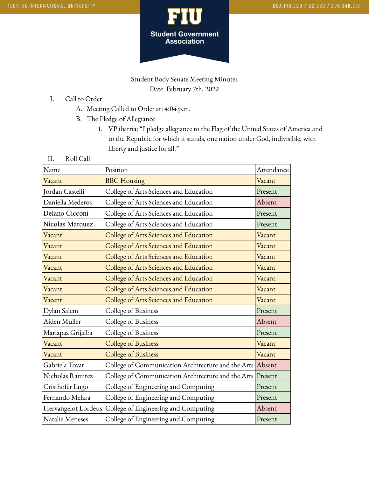

Student Body Senate Meeting Minutes Date: February 7th, 2022

- I. Call to Order
	- A. Meeting Called to Order at: 4:04 p.m.
	- B. The Pledge of Allegiance
		- 1. VP ibarria: "I pledge allegiance to the Flag of the United States of America and to the Republic for which it stands, one nation under God, indivisible, with liberty and justice for all."
- II. Roll Call

| Name                   | Position                                                   | Attendance |
|------------------------|------------------------------------------------------------|------------|
| Vacant                 | <b>BBC</b> Housing                                         | Vacant     |
| Jordan Castelli        | College of Arts Sciences and Education                     | Present    |
| Daniella Mederos       | College of Arts Sciences and Education                     | Absent     |
| Delano Cicconi         | College of Arts Sciences and Education                     | Present    |
| Nicolas Marquez        | College of Arts Sciences and Education                     | Present    |
| Vacant                 | College of Arts Sciences and Education                     | Vacant     |
| Vacant                 | College of Arts Sciences and Education                     | Vacant     |
| Vacant                 | College of Arts Sciences and Education                     | Vacant     |
| Vacant                 | College of Arts Sciences and Education                     | Vacant     |
| Vacant                 | College of Arts Sciences and Education                     | Vacant     |
| Vacant                 | College of Arts Sciences and Education                     | Vacant     |
| Vacent                 | College of Arts Sciences and Education                     | Vacant     |
| Dylan Salem            | College of Business                                        | Present    |
| Aiden Muller           | College of Business                                        | Absent     |
| Mariapaz Grijalba      | College of Business                                        | Present    |
| Vacant                 | College of Business                                        | Vacant     |
| Vacant                 | <b>College of Business</b>                                 | Vacant     |
| Gabriela Tovar         | College of Communication Architecture and the Arts Absent  |            |
| Nicholas Ramirez       | College of Communication Architecture and the Arts Present |            |
| Cristhofer Lugo        | College of Engineering and Computing                       | Present    |
| Fernando Melara        | College of Engineering and Computing                       | Present    |
| Hervangelot Lordeus    | College of Engineering and Computing                       | Absent     |
| <b>Natalie Meneses</b> | College of Engineering and Computing                       | Present    |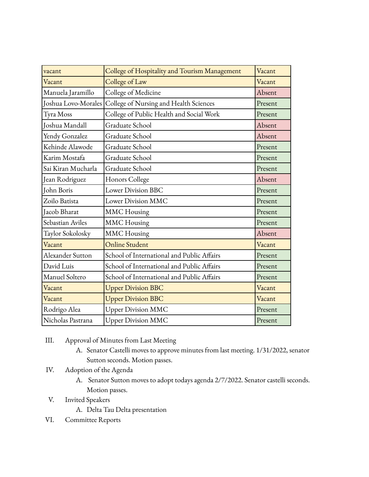| vacant              | College of Hospitality and Tourism Management | Vacant  |
|---------------------|-----------------------------------------------|---------|
| Vacant              | College of Law                                | Vacant  |
| Manuela Jaramillo   | College of Medicine                           | Absent  |
| Joshua Lovo-Morales | College of Nursing and Health Sciences        | Present |
| Tyra Moss           | College of Public Health and Social Work      | Present |
| Joshua Mandall      | Graduate School                               | Absent  |
| Yendy Gonzalez      | Graduate School                               | Absent  |
| Kehinde Alawode     | Graduate School                               | Present |
| Karim Mostafa       | Graduate School                               | Present |
| Sai Kiran Mucharla  | Graduate School                               | Present |
| Jean Rodriguez      | Honors College                                | Absent  |
| John Boris          | Lower Division BBC                            | Present |
| Zoilo Batista       | Lower Division MMC                            | Present |
| Jacob Bharat        | <b>MMC</b> Housing                            | Present |
| Sebastian Aviles    | <b>MMC</b> Housing                            | Present |
| Taylor Sokolosky    | <b>MMC</b> Housing                            | Absent  |
| Vacant              | <b>Online Student</b>                         | Vacant  |
| Alexander Sutton    | School of International and Public Affairs    | Present |
| David Luis          | School of International and Public Affairs    | Present |
| Manuel Soltero      | School of International and Public Affairs    | Present |
| Vacant              | <b>Upper Division BBC</b>                     | Vacant  |
| Vacant              | <b>Upper Division BBC</b>                     | Vacant  |
| Rodrigo Alea        | <b>Upper Division MMC</b>                     | Present |
| Nicholas Pastrana   | <b>Upper Division MMC</b>                     | Present |

- III. Approval of Minutes from Last Meeting
	- A. Senator Castelli moves to approve minutes from last meeting. 1/31/2022, senator Sutton seconds. Motion passes.
- IV. Adoption of the Agenda
	- A. Senator Sutton moves to adopt todays agenda 2/7/2022. Senator castelli seconds. Motion passes.
- V. Invited Speakers
	- A. Delta Tau Delta presentation
- VI. Committee Reports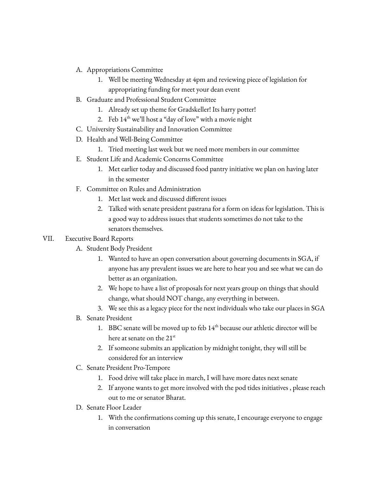- A. Appropriations Committee
	- 1. Well be meeting Wednesday at 4pm and reviewing piece of legislation for appropriating funding for meet your dean event
- B. Graduate and Professional Student Committee
	- 1. Already set up theme for Gradskeller! Its harry potter!
	- 2. Feb  $14<sup>th</sup>$  we'll host a "day of love" with a movie night
- C. University Sustainability and Innovation Committee
- D. Health and Well-Being Committee
	- 1. Tried meeting last week but we need more members in our committee
- E. Student Life and Academic Concerns Committee
	- 1. Met earlier today and discussed food pantry initiative we plan on having later in the semester
- F. Committee on Rules and Administration
	- 1. Met last week and discussed different issues
	- 2. Talked with senate president pastrana for a form on ideas for legislation. This is a good way to address issues that students sometimes do not take to the senators themselves.

## VII. Executive Board Reports

- A. Student Body President
	- 1. Wanted to have an open conversation about governing documents in SGA, if anyone has any prevalent issues we are here to hear you and see what we can do better as an organization.
	- 2. We hope to have a list of proposals for next years group on things that should change, what should NOT change, any everything in between.
	- 3. We see this as a legacy piece for the next individuals who take our places in SGA
- B. Senate President
	- 1. BBC senate will be moved up to feb  $14<sup>th</sup>$  because our athletic director will be here at senate on the 21st
	- 2. If someone submits an application by midnight tonight, they will still be considered for an interview
- C. Senate President Pro-Tempore
	- 1. Food drive will take place in march, I will have more dates next senate
	- 2. If anyone wants to get more involved with the pod tides initiatives , please reach out to me or senator Bharat.
- D. Senate Floor Leader
	- 1. With the confirmations coming up this senate, I encourage everyone to engage in conversation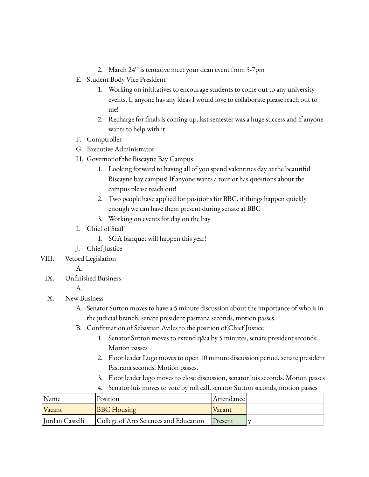- 2. March  $24^{\text{th}}$  is tentative meet your dean event from 5-7pm
- E. Student Body Vice President
	- 1. Working on inititatives to encourage students to come out to any university events. If anyone has any ideas I would love to collaborate please reach out to me!
	- 2. Recharge for finals is coming up, last semester was a huge success and if anyone wants to help with it.
- F. Comptroller
- G. Executive Administrator
- H. Governor of the Biscayne Bay Campus
	- 1. Looking forward to having all of you spend valentines day at the beautiful Biscayne bay campus! If anyone wants a tour or has questions about the campus please reach out!
	- 2. Two people have applied for positions for BBC, if things happen quickly enough we can have them present during senate at BBC
	- 3. Working on events for day on the bay
- I. Chief of Staff
	- 1. SGA banquet will happen this year!
- J. Chief Justice
- VIII. Vetoed Legislation
	- A.
	- IX. Unfinished Business

A.

## X. New Business

- A. Senator Sutton moves to have a 5 minute discussion about the importance of who is in the judicial branch, senate president pastrana seconds, motion passes.
- B. Confirmation of Sebastian Aviles to the position of Chief Justice
	- 1. Senator Sutton moves to extend q&a by 5 minutes, senate president seconds. Motion passes
	- 2. Floor leader Lugo moves to open 10 minute discussion period, senate president Pastrana seconds. Motion passes.
	- 3. Floor leader lugo moves to close discussion, senator luis seconds. Motion passes
	- 4. Senator luis moves to vote by roll call, senator Sutton seconds, motion passes

| Name            | Position                               | Attendance    |  |
|-----------------|----------------------------------------|---------------|--|
| Vacant          | <b>BBC</b> Housing                     | <b>Vacant</b> |  |
| Jordan Castelli | College of Arts Sciences and Education | $P$ resent    |  |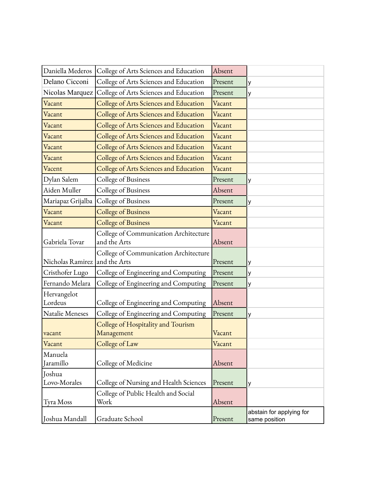| Daniella Mederos              | College of Arts Sciences and Education                | Absent  |                                           |
|-------------------------------|-------------------------------------------------------|---------|-------------------------------------------|
| Delano Cicconi                | College of Arts Sciences and Education                | Present | у                                         |
| Nicolas Marquez               | College of Arts Sciences and Education                | Present | у                                         |
| Vacant                        | College of Arts Sciences and Education                | Vacant  |                                           |
| Vacant                        | College of Arts Sciences and Education                | Vacant  |                                           |
| Vacant                        | College of Arts Sciences and Education                | Vacant  |                                           |
| Vacant                        | College of Arts Sciences and Education                | Vacant  |                                           |
| Vacant                        | College of Arts Sciences and Education                | Vacant  |                                           |
| Vacant                        | College of Arts Sciences and Education                | Vacant  |                                           |
| Vacent                        | College of Arts Sciences and Education                | Vacant  |                                           |
| Dylan Salem                   | College of Business                                   | Present | у                                         |
| Aiden Muller                  | College of Business                                   | Absent  |                                           |
| Mariapaz Grijalba             | College of Business                                   | Present | у                                         |
| Vacant                        | <b>College of Business</b>                            | Vacant  |                                           |
| Vacant                        | <b>College of Business</b>                            | Vacant  |                                           |
| Gabriela Tovar                | College of Communication Architecture<br>and the Arts | Absent  |                                           |
| Nicholas Ramirez and the Arts | College of Communication Architecture                 | Present | y                                         |
| Cristhofer Lugo               | College of Engineering and Computing                  | Present | У                                         |
| Fernando Melara               | College of Engineering and Computing                  | Present | у                                         |
| Hervangelot<br>Lordeus        | College of Engineering and Computing                  | Absent  |                                           |
| Natalie Meneses               | College of Engineering and Computing                  | Present | у                                         |
| vacant                        | College of Hospitality and Tourism<br>Management      | Vacant  |                                           |
| Vacant                        | College of Law                                        | Vacant  |                                           |
| Manuela<br>Jaramillo          | College of Medicine                                   | Absent  |                                           |
| Joshua                        |                                                       |         |                                           |
| Lovo-Morales                  | College of Nursing and Health Sciences                | Present | у                                         |
| Tyra Moss                     | College of Public Health and Social<br>Work           | Absent  |                                           |
| Joshua Mandall                | Graduate School                                       | Present | abstain for applying for<br>same position |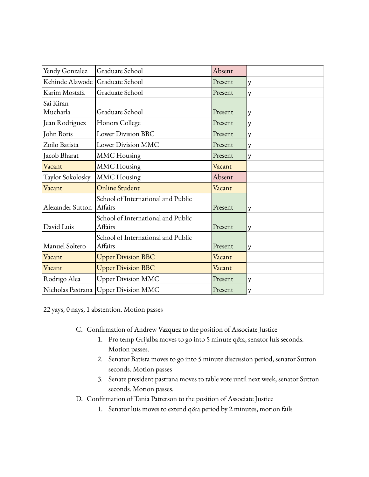| Yendy Gonzalez                         | Graduate School                               | Absent  |          |
|----------------------------------------|-----------------------------------------------|---------|----------|
| Kehinde Alawode Graduate School        |                                               | Present | y        |
| Karim Mostafa                          | Graduate School                               | Present | <b>V</b> |
| Sai Kiran<br>Mucharla                  | Graduate School                               | Present | y        |
| Jean Rodriguez                         | Honors College                                | Present | y        |
| John Boris                             | Lower Division BBC                            | Present | y        |
| Zoilo Batista                          | <b>Lower Division MMC</b>                     | Present | y        |
| Jacob Bharat                           | <b>MMC</b> Housing                            | Present | y        |
| Vacant                                 | <b>MMC</b> Housing                            | Vacant  |          |
| Taylor Sokolosky                       | <b>MMC</b> Housing                            | Absent  |          |
| Vacant                                 | Online Student                                | Vacant  |          |
| Alexander Sutton                       | School of International and Public<br>Affairs | Present | y        |
| David Luis                             | School of International and Public<br>Affairs | Present | y        |
| Manuel Soltero                         | School of International and Public<br>Affairs | Present | y        |
| Vacant                                 | <b>Upper Division BBC</b>                     | Vacant  |          |
| Vacant                                 | <b>Upper Division BBC</b>                     | Vacant  |          |
| Rodrigo Alea                           | <b>Upper Division MMC</b>                     | Present | y        |
| Nicholas Pastrana   Upper Division MMC |                                               |         |          |

22 yays, 0 nays, 1 abstention. Motion passes

- C. Confirmation of Andrew Vazquez to the position of Associate Justice
	- 1. Pro temp Grijalba moves to go into 5 minute q&a, senator luis seconds. Motion passes.
	- 2. Senator Batista moves to go into 5 minute discussion period, senator Sutton seconds. Motion passes
	- 3. Senate president pastrana moves to table vote until next week, senator Sutton seconds. Motion passes.
- D. Confirmation of Tania Patterson to the position of Associate Justice
	- 1. Senator luis moves to extend q&a period by 2 minutes, motion fails